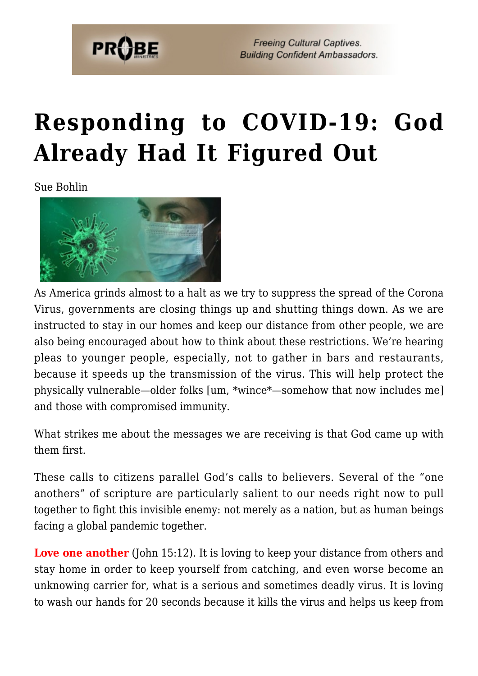

**Freeing Cultural Captives. Building Confident Ambassadors.** 

## **[Responding to COVID-19: God](https://probe.org/responding-to-covid-19-god-already-had-it-figured-out/) [Already Had It Figured Out](https://probe.org/responding-to-covid-19-god-already-had-it-figured-out/)**

Sue Bohlin



As America grinds almost to a halt as we try to suppress the spread of the Corona Virus, governments are closing things up and shutting things down. As we are instructed to stay in our homes and keep our distance from other people, we are also being encouraged about how to think about these restrictions. We're hearing pleas to younger people, especially, not to gather in bars and restaurants, because it speeds up the transmission of the virus. This will help protect the physically vulnerable—older folks [um, \*wince\*—somehow that now includes me] and those with compromised immunity.

What strikes me about the messages we are receiving is that God came up with them first.

These calls to citizens parallel God's calls to believers. Several of the "one anothers" of scripture are particularly salient to our needs right now to pull together to fight this invisible enemy: not merely as a nation, but as human beings facing a global pandemic together.

**Love one another** (John 15:12). It is loving to keep your distance from others and stay home in order to keep yourself from catching, and even worse become an unknowing carrier for, what is a serious and sometimes deadly virus. It is loving to wash our hands for 20 seconds because it kills the virus and helps us keep from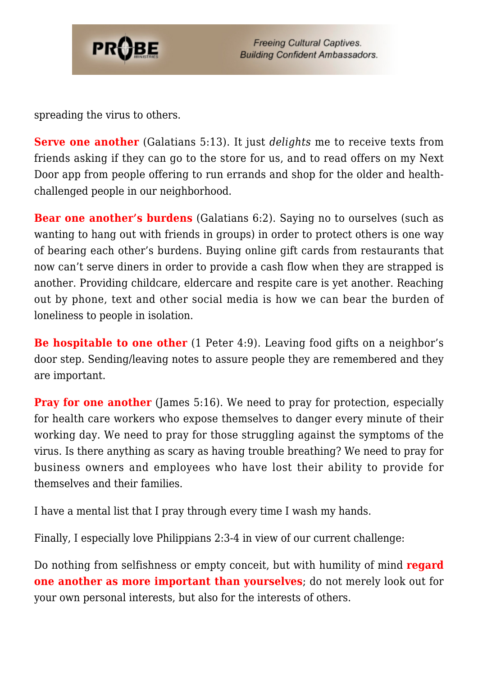

spreading the virus to others.

**Serve one another** (Galatians 5:13). It just *delights* me to receive texts from friends asking if they can go to the store for us, and to read offers on my Next Door app from people offering to run errands and shop for the older and healthchallenged people in our neighborhood.

**Bear one another's burdens** (Galatians 6:2). Saying no to ourselves (such as wanting to hang out with friends in groups) in order to protect others is one way of bearing each other's burdens. Buying online gift cards from restaurants that now can't serve diners in order to provide a cash flow when they are strapped is another. Providing childcare, eldercare and respite care is yet another. Reaching out by phone, text and other social media is how we can bear the burden of loneliness to people in isolation.

**Be hospitable to one other** (1 Peter 4:9). Leaving food gifts on a neighbor's door step. Sending/leaving notes to assure people they are remembered and they are important.

**Pray for one another** (James 5:16). We need to pray for protection, especially for health care workers who expose themselves to danger every minute of their working day. We need to pray for those struggling against the symptoms of the virus. Is there anything as scary as having trouble breathing? We need to pray for business owners and employees who have lost their ability to provide for themselves and their families.

I have a mental list that I pray through every time I wash my hands.

Finally, I especially love Philippians 2:3-4 in view of our current challenge:

Do nothing from selfishness or empty conceit, but with humility of mind **regard one another as more important than yourselves**; do not merely look out for your own personal interests, but also for the interests of others.